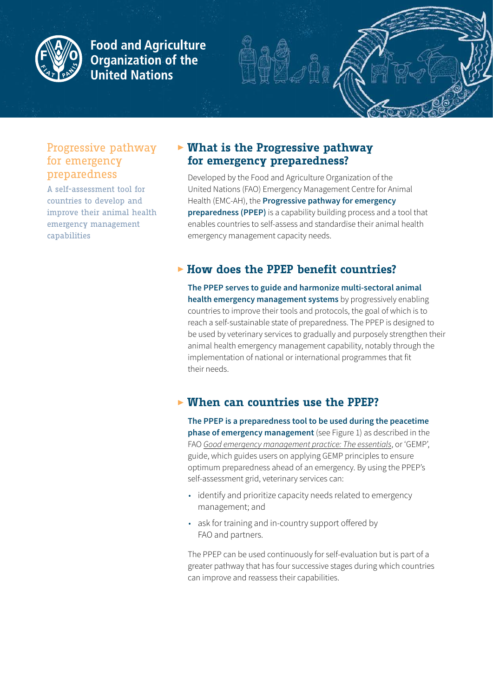

**Food and Agriculture Organization of the United Nations** 

#### Progressive pathway for emergency preparedness

A self-assessment tool for countries to develop and improve their animal health emergency management capabilities

## **EXECUTE:** What is the Progressive pathway **for emergency preparedness?**

Developed by the Food and Agriculture Organization of the United Nations (FAO) Emergency Management Centre for Animal Health (EMC-AH), the **Progressive pathway for emergency preparedness (PPEP)** is a capability building process and a tool that enables countries to self-assess and standardise their animal health emergency management capacity needs.

## **Figure 15 Figure 15 Figure 15 Figure 15 Figure 15 Figure 15 Figure 15 Figure 15 Figure 15 Figure 15 Figure 15 Figure 15 Figure 15 Figure 15 Figure 15 Figure 15 Figure 15 Figure 15 Figure 15 Figure 15 Figure 15 Figure 15 F**

**The PPEP serves to guide and harmonize multi-sectoral animal health emergency management systems** by progressively enabling countries to improve their tools and protocols, the goal of which is to reach a self-sustainable state of preparedness. The PPEP is designed to be used by veterinary services to gradually and purposely strengthen their animal health emergency management capability, notably through the implementation of national or international programmes that fit their needs.

### **Fig. 7 When can countries use the PPEP?**

**The PPEP is a preparedness tool to be used during the peacetime phase of emergency management** (see Figure 1) as described in the FAO *[Good emergency management practice: The essentials](https://www.fao.org/3/cb3833en/cb3833en.pdf)*, or 'GEMP', guide, which guides users on applying GEMP principles to ensure optimum preparedness ahead of an emergency. By using the PPEP's self-assessment grid, veterinary services can:

- identify and prioritize capacity needs related to emergency management; and
- ask for training and in-country support offered by FAO and partners.

The PPEP can be used continuously for self-evaluation but is part of a greater pathway that has four successive stages during which countries can improve and reassess their capabilities.